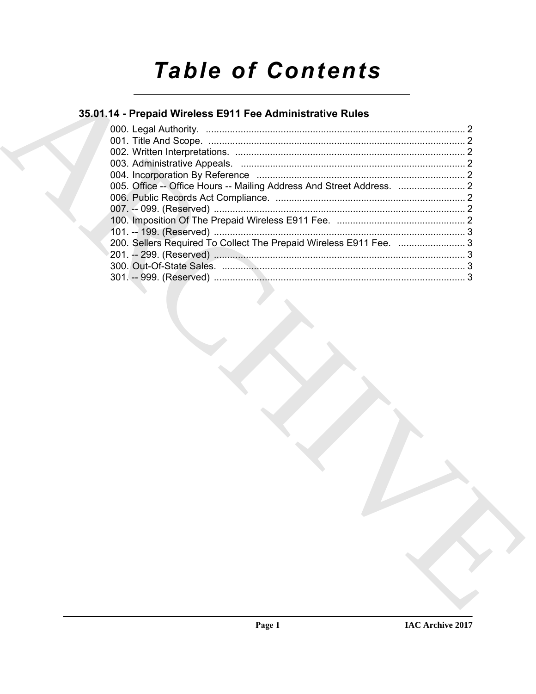# **Table of Contents**

### 35.01.14 - Prepaid Wireless E911 Fee Administrative Rules

| 200. Sellers Required To Collect The Prepaid Wireless E911 Fee. 3 |  |
|-------------------------------------------------------------------|--|
|                                                                   |  |
|                                                                   |  |
|                                                                   |  |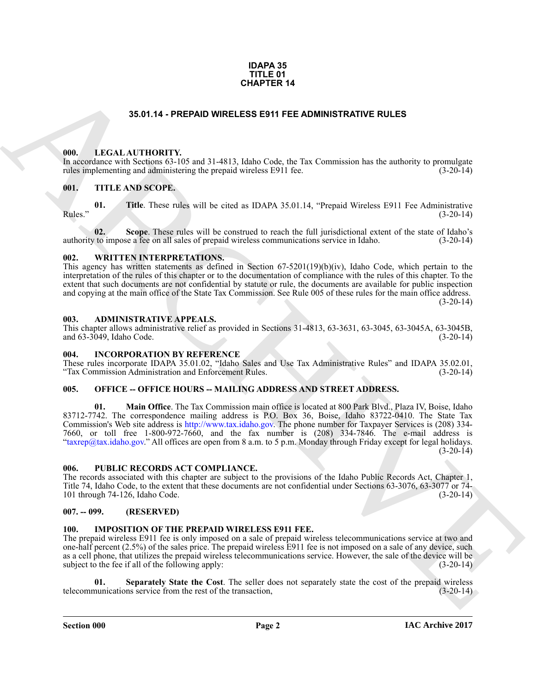#### **IDAPA 35 TITLE 01 CHAPTER 14**

#### **35.01.14 - PREPAID WIRELESS E911 FEE ADMINISTRATIVE RULES**

#### <span id="page-1-1"></span><span id="page-1-0"></span>**000. LEGAL AUTHORITY.**

In accordance with Sections 63-105 and 31-4813, Idaho Code, the Tax Commission has the authority to promulgate rules implementing and administering the prepaid wireless E911 fee.  $(3-20-14)$ 

#### <span id="page-1-2"></span>**001. TITLE AND SCOPE.**

**01.** Title. These rules will be cited as IDAPA 35.01.14, "Prepaid Wireless E911 Fee Administrative (3-20-14) Rules." (3-20-14)

**02.** Scope. These rules will be construed to reach the full jurisdictional extent of the state of Idaho's to impose a fee on all sales of prepaid wireless communications service in Idaho. (3-20-14) authority to impose a fee on all sales of prepaid wireless communications service in Idaho.

#### <span id="page-1-3"></span>**002. WRITTEN INTERPRETATIONS.**

This agency has written statements as defined in Section 67-5201(19)(b)(iv), Idaho Code, which pertain to the interpretation of the rules of this chapter or to the documentation of compliance with the rules of this chapter. To the extent that such documents are not confidential by statute or rule, the documents are available for public inspection and copying at the main office of the State Tax Commission. See Rule 005 of these rules for the main office address.  $(3-20-14)$ 

#### <span id="page-1-4"></span>**003. ADMINISTRATIVE APPEALS.**

This chapter allows administrative relief as provided in Sections 31-4813, 63-3631, 63-3045, 63-3045A, 63-3045B, and 63-3049, Idaho Code. (3-20-14) and  $63-3049$ , Idaho Code.

#### <span id="page-1-5"></span>**004. INCORPORATION BY REFERENCE**

These rules incorporate IDAPA 35.01.02, "Idaho Sales and Use Tax Administrative Rules" and IDAPA 35.02.01, "Tax Commission Administration and Enforcement Rules. (3-20-14) "Tax Commission Administration and Enforcement Rules.

#### <span id="page-1-6"></span>005. OFFICE -- OFFICE HOURS -- MAILING ADDRESS AND STREET ADDRESS.

**SAO.1.4 - PREPAD WIRELESS ESTI FEE ADMINISTRATIVE RULES<br>
(M).** LEGAL ALTITORITY (S and 1) 4813. Idahu Code, the Tax Commission has the ambutity to promulgate<br>
(a) Fig. 2. T[H](http://www.tax.idaho.gov)E AND SCOPE.<br>
(a) FIGURE 2008 10: THE AND SCOPE **01. Main Office**. The Tax Commission main office is located at 800 Park Blvd., Plaza IV, Boise, Idaho 83712-7742. The correspondence mailing address is P.O. Box 36, Boise, Idaho 83722-0410. The State Tax Commission's Web site address is http://www.tax.idaho.gov. The phone number for Taxpayer Services is (208) 334- 7660, or toll free 1-800-972-7660, and the fax number is (208) 334-7846. The e-mail address is "taxrep@tax.idaho.gov." All offices are open from 8 a.m. to 5 p.m. Monday through Friday except for legal holidays.  $(3-20-14)$ 

#### <span id="page-1-7"></span>**006. PUBLIC RECORDS ACT COMPLIANCE.**

The records associated with this chapter are subject to the provisions of the Idaho Public Records Act, Chapter 1, Title 74, Idaho Code, to the extent that these documents are not confidential under Sections 63-3076, 63-3077 or 74- 101 through 74-126, Idaho Code. (3-20-14)

#### <span id="page-1-8"></span>**007. -- 099. (RESERVED)**

#### <span id="page-1-10"></span><span id="page-1-9"></span>**100. IMPOSITION OF THE PREPAID WIRELESS E911 FEE.**

The prepaid wireless E911 fee is only imposed on a sale of prepaid wireless telecommunications service at two and one-half percent (2.5%) of the sales price. The prepaid wireless E911 fee is not imposed on a sale of any device, such as a cell phone, that utilizes the prepaid wireless telecommunications service. However, the sale of the device will be subject to the fee if all of the following apply: (3-20-14) subject to the fee if all of the following apply:

<span id="page-1-11"></span>**01.** Separately State the Cost. The seller does not separately state the cost of the prepaid wireless munications service from the rest of the transaction,  $(3-20-14)$ telecommunications service from the rest of the transaction,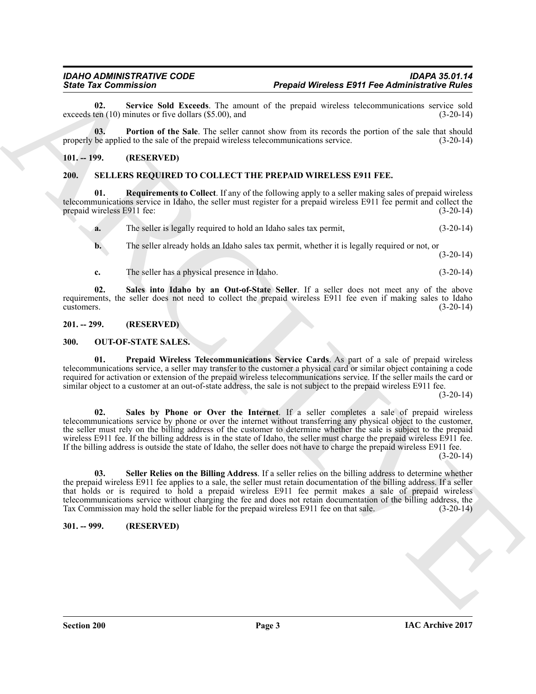<span id="page-2-6"></span>**02.** Service Sold Exceeds. The amount of the prepaid wireless telecommunications service sold ten (10) minutes or five dollars (\$5.00), and exceeds ten  $(10)$  minutes or five dollars  $(\$5.00)$ , and

<span id="page-2-5"></span>**03. Portion of the Sale**. The seller cannot show from its records the portion of the sale that should properly be applied to the sale of the prepaid wireless telecommunications service. (3-20-14)

#### <span id="page-2-11"></span><span id="page-2-0"></span>**101. -- 199. (RESERVED)**

#### <span id="page-2-1"></span>**200. SELLERS REQUIRED TO COLLECT THE PREPAID WIRELESS E911 FEE.**

**01. Requirements to Collect**. If any of the following apply to a seller making sales of prepaid wireless telecommunications service in Idaho, the seller must register for a prepaid wireless E911 fee permit and collect the prepaid wireless E911 fee: (3-20-14) prepaid wireless E911 fee:

<span id="page-2-12"></span>**a.** The seller is legally required to hold an Idaho sales tax permit,  $(3-20-14)$ 

**b.** The seller already holds an Idaho sales tax permit, whether it is legally required or not, or (3-20-14)

<span id="page-2-13"></span>**c.** The seller has a physical presence in Idaho. (3-20-14)

**02. Sales into Idaho by an Out-of-State Seller**. If a seller does not meet any of the above requirements, the seller does not need to collect the prepaid wireless E911 fee even if making sales to Idaho customers. (3-20-14)  $\alpha$  customers.  $(3-20-14)$ 

#### <span id="page-2-2"></span>**201. -- 299. (RESERVED)**

#### <span id="page-2-7"></span><span id="page-2-3"></span>**300. OUT-OF-STATE SALES.**

<span id="page-2-9"></span><span id="page-2-8"></span>**01. Prepaid Wireless Telecommunications Service Cards**. As part of a sale of prepaid wireless telecommunications service, a seller may transfer to the customer a physical card or similar object containing a code required for activation or extension of the prepaid wireless telecommunications service. If the seller mails the card or similar object to a customer at an out-of-state address, the sale is not subject to the prepaid wireless E911 fee.

 $(3-20-14)$ 

Since Tax Commissions 2011 Research Merchan ESPI Free Administration Since 16.<br>
seconds the Since Solution of the Since Since Tax Commissions and the measurements of the Since Since Since Tax Commissions and the Since Sin **02. Sales by Phone or Over the Internet**. If a seller completes a sale of prepaid wireless telecommunications service by phone or over the internet without transferring any physical object to the customer, the seller must rely on the billing address of the customer to determine whether the sale is subject to the prepaid wireless E911 fee. If the billing address is in the state of Idaho, the seller must charge the prepaid wireless E911 fee. If the billing address is outside the state of Idaho, the seller does not have to charge the prepaid wireless E911 fee.

 $(3-20-14)$ 

<span id="page-2-10"></span>**03. Seller Relies on the Billing Address**. If a seller relies on the billing address to determine whether the prepaid wireless E911 fee applies to a sale, the seller must retain documentation of the billing address. If a seller that holds or is required to hold a prepaid wireless E911 fee permit makes a sale of prepaid wireless telecommunications service without charging the fee and does not retain documentation of the billing address, the Tax Commission may hold the seller liable for the prepaid wireless E911 fee on that sale. (3-20-14) Tax Commission may hold the seller liable for the prepaid wireless E911 fee on that sale.

#### <span id="page-2-4"></span>**301. -- 999. (RESERVED)**